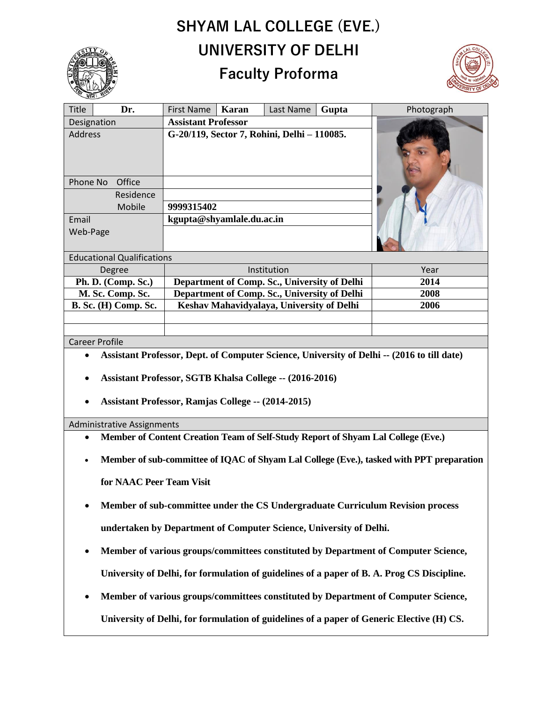# **SHYAM LAL COLLEGE (EVE.) UNIVERSITY OF DELHI**

# **Faculty Proforma**



| <b>Title</b><br>Dr.               | Karan<br>First Name<br>Last Name             | Gupta | Photograph |
|-----------------------------------|----------------------------------------------|-------|------------|
| Designation                       | <b>Assistant Professor</b>                   |       |            |
| <b>Address</b>                    | G-20/119, Sector 7, Rohini, Delhi - 110085.  |       |            |
| Phone No<br>Office                |                                              |       |            |
| Residence                         |                                              |       |            |
| Mobile                            | 9999315402                                   |       |            |
| Email                             | kgupta@shyamlale.du.ac.in                    |       |            |
| Web-Page                          |                                              |       |            |
| <b>Educational Qualifications</b> |                                              |       |            |
| Degree                            | Institution                                  |       | Year       |
| Ph. D. (Comp. Sc.)                | Department of Comp. Sc., University of Delhi |       | 2014       |
| M. Sc. Comp. Sc.                  | Department of Comp. Sc., University of Delhi |       | 2008       |
| <b>B. Sc. (H) Comp. Sc.</b>       | Keshav Mahavidyalaya, University of Delhi    |       | 2006       |
|                                   |                                              |       |            |
|                                   |                                              |       |            |

Career Profile

- **Assistant Professor, Dept. of Computer Science, University of Delhi -- (2016 to till date)**
- **Assistant Professor, SGTB Khalsa College -- (2016-2016)**
- **Assistant Professor, Ramjas College -- (2014-2015)**

#### Administrative Assignments

- **Member of Content Creation Team of Self-Study Report of Shyam Lal College (Eve.)**
- **Member of sub-committee of IQAC of Shyam Lal College (Eve.), tasked with PPT preparation for NAAC Peer Team Visit**
- **Member of sub-committee under the CS Undergraduate Curriculum Revision process undertaken by Department of Computer Science, University of Delhi.**
- **Member of various groups/committees constituted by Department of Computer Science, University of Delhi, for formulation of guidelines of a paper of B. A. Prog CS Discipline.**
- **Member of various groups/committees constituted by Department of Computer Science,**

**University of Delhi, for formulation of guidelines of a paper of Generic Elective (H) CS.**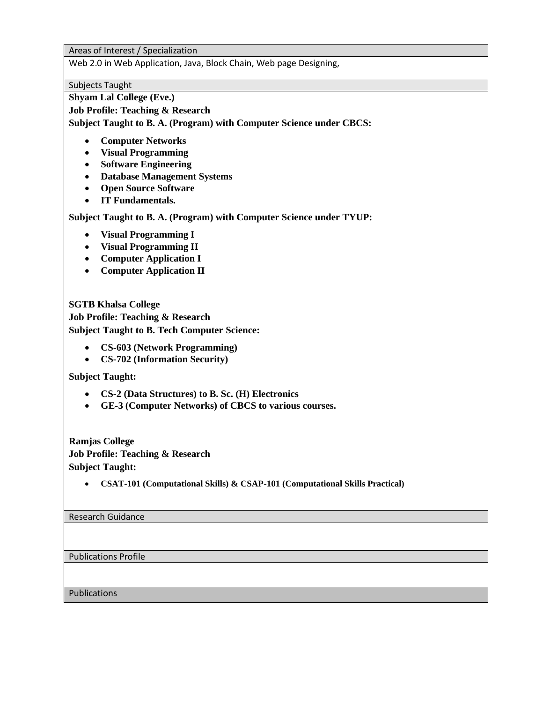Areas of Interest / Specialization

Web 2.0 in Web Application, Java, Block Chain, Web page Designing,

Subjects Taught

**Shyam Lal College (Eve.)**

**Job Profile: Teaching & Research**

**Subject Taught to B. A. (Program) with Computer Science under CBCS:**

- **Computer Networks**
- **Visual Programming**
- **Software Engineering**
- **Database Management Systems**
- **Open Source Software**
- **IT Fundamentals.**

**Subject Taught to B. A. (Program) with Computer Science under TYUP:**

- **Visual Programming I**
- **Visual Programming II**
- **Computer Application I**
- **Computer Application II**

**SGTB Khalsa College Job Profile: Teaching & Research Subject Taught to B. Tech Computer Science:**

- **CS-603 (Network Programming)**
- **CS-702 (Information Security)**

**Subject Taught:**

- **CS-2 (Data Structures) to B. Sc. (H) Electronics**
- **GE-3 (Computer Networks) of CBCS to various courses.**

**Ramjas College Job Profile: Teaching & Research Subject Taught:**

• **CSAT-101 (Computational Skills) & CSAP-101 (Computational Skills Practical)**

Research Guidance

Publications Profile

Publications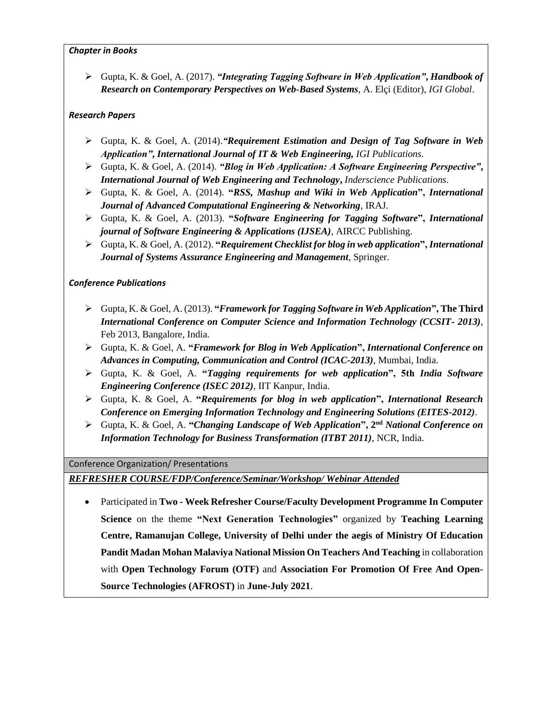#### *Chapter in Books*

➢ Gupta, K. & Goel, A. (2017). *"Integrating Tagging Software in Web Application"***,** *Handbook of Research on Contemporary Perspectives on Web-Based Systems*, A. Elçi (Editor), *IGI Global*.

#### *Research Papers*

- ➢ Gupta, K. & Goel, A. (2014).*"Requirement Estimation and Design of Tag Software in Web Application"***,** *International Journal of IT & Web Engineering, IGI Publications*.
- ➢ Gupta, K. & Goel, A. (2014). *"Blog in Web Application: A Software Engineering Perspective"***,** *International Journal of Web Engineering and Technology***,** *Inderscience Publications*.
- ➢ Gupta, K. & Goel, A. (2014). **"***RSS, Mashup and Wiki in Web Application***",** *International Journal of Advanced Computational Engineering & Networking*, IRAJ.
- ➢ Gupta, K. & Goel, A. (2013). **"***Software Engineering for Tagging Software***",** *International journal of Software Engineering & Applications (IJSEA)*, AIRCC Publishing.
- ➢ Gupta, K. & Goel, A. (2012). **"***Requirement Checklist for blog in web application***",** *International Journal of Systems Assurance Engineering and Management*, Springer.

### *Conference Publications*

- ➢ Gupta, K. & Goel, A. (2013). **"***Framework for Tagging Software in Web Application***", The Third**  *International Conference on Computer Science and Information Technology (CCSIT- 2013)*, Feb 2013, Bangalore, India.
- ➢ Gupta, K. & Goel, A. **"***Framework for Blog in Web Application***",** *International Conference on Advances in Computing, Communication and Control (ICAC-2013)*, Mumbai, India.
- ➢ Gupta, K. & Goel, A. **"***Tagging requirements for web application***", 5th** *India Software Engineering Conference (ISEC 2012)*, IIT Kanpur, India.
- ➢ Gupta, K. & Goel, A. **"***Requirements for blog in web application***",** *International Research Conference on Emerging Information Technology and Engineering Solutions (EITES-2012)*.
- ➢ Gupta, K. & Goel, A. **"***Changing Landscape of Web Application***", 2 nd** *National Conference on Information Technology for Business Transformation (ITBT 2011)*, NCR, India.

#### Conference Organization/ Presentations

## *REFRESHER COURSE/FDP/Conference/Seminar/Workshop/ Webinar Attended*

• Participated in **Two - Week Refresher Course/Faculty Development Programme In Computer Science** on the theme **"Next Generation Technologies"** organized by **Teaching Learning Centre, Ramanujan College, University of Delhi under the aegis of Ministry Of Education Pandit Madan Mohan Malaviya National Mission On Teachers And Teaching** in collaboration with **Open Technology Forum (OTF)** and **Association For Promotion Of Free And Open-Source Technologies (AFROST)** in **June-July 2021**.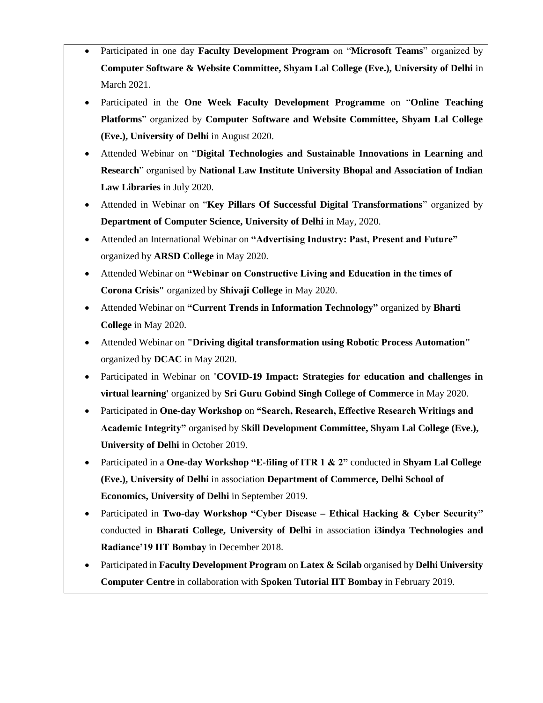- Participated in one day **Faculty Development Program** on "**Microsoft Teams**" organized by **Computer Software & Website Committee, Shyam Lal College (Eve.), University of Delhi** in March 2021.
- Participated in the **One Week Faculty Development Programme** on "**Online Teaching Platforms**" organized by **Computer Software and Website Committee, Shyam Lal College (Eve.), University of Delhi** in August 2020.
- Attended Webinar on "**Digital Technologies and Sustainable Innovations in Learning and Research**" organised by **National Law Institute University Bhopal and Association of Indian Law Libraries** in July 2020.
- Attended in Webinar on "**Key Pillars Of Successful Digital Transformations**" organized by **Department of Computer Science, University of Delhi** in May, 2020.
- Attended an International Webinar on **"Advertising Industry: Past, Present and Future"**  organized by **ARSD College** in May 2020.
- Attended Webinar on **"Webinar on Constructive Living and Education in the times of Corona Crisis"** organized by **Shivaji College** in May 2020.
- Attended Webinar on **"Current Trends in Information Technology"** organized by **Bharti College** in May 2020.
- Attended Webinar on **"Driving digital transformation using Robotic Process Automation"**  organized by **DCAC** in May 2020.
- Participated in Webinar on **'COVID-19 Impact: Strategies for education and challenges in virtual learning'** organized by **Sri Guru Gobind Singh College of Commerce** in May 2020.
- Participated in **One-day Workshop** on **"Search, Research, Effective Research Writings and Academic Integrity"** organised by S**kill Development Committee, Shyam Lal College (Eve.), University of Delhi** in October 2019.
- Participated in a **One-day Workshop "E-filing of ITR 1 & 2"** conducted in **Shyam Lal College (Eve.), University of Delhi** in association **Department of Commerce, Delhi School of Economics, University of Delhi** in September 2019.
- Participated in **Two-day Workshop "Cyber Disease – Ethical Hacking & Cyber Security"** conducted in **Bharati College, University of Delhi** in association **i3indya Technologies and Radiance'19 IIT Bombay** in December 2018.
- Participated in **Faculty Development Program** on **Latex & Scilab** organised by **Delhi University Computer Centre** in collaboration with **Spoken Tutorial IIT Bombay** in February 2019.